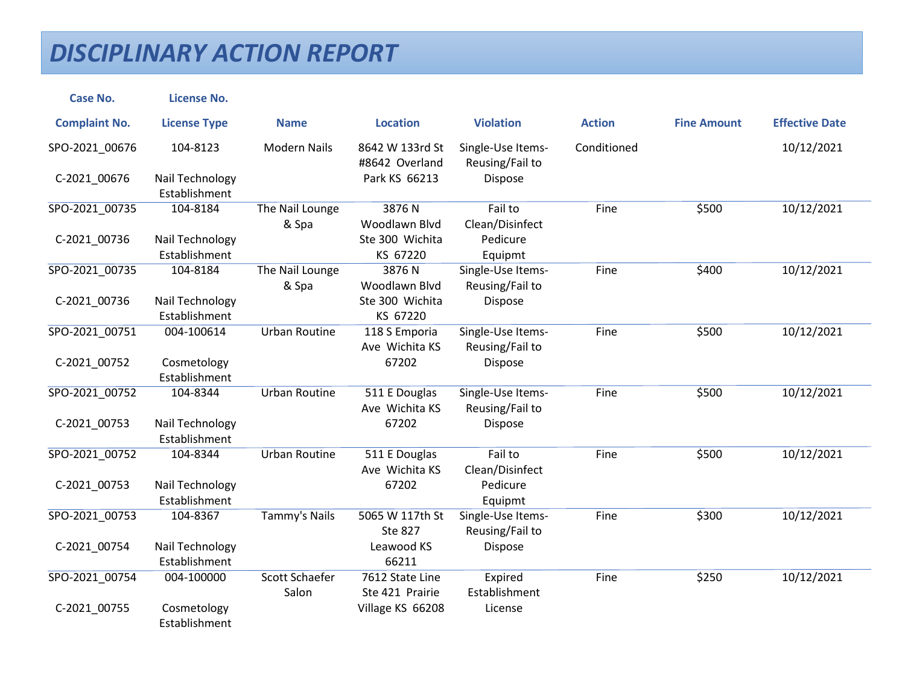## *DISCIPLINARY ACTION REPORT*

| <b>Case No.</b>      | <b>License No.</b>               |                                |                                    |                                      |               |                    |                       |
|----------------------|----------------------------------|--------------------------------|------------------------------------|--------------------------------------|---------------|--------------------|-----------------------|
| <b>Complaint No.</b> | <b>License Type</b>              | <b>Name</b>                    | <b>Location</b>                    | <b>Violation</b>                     | <b>Action</b> | <b>Fine Amount</b> | <b>Effective Date</b> |
| SPO-2021_00676       | 104-8123                         | <b>Modern Nails</b>            | 8642 W 133rd St<br>#8642 Overland  | Single-Use Items-<br>Reusing/Fail to | Conditioned   |                    | 10/12/2021            |
| C-2021_00676         | Nail Technology<br>Establishment |                                | Park KS 66213                      | Dispose                              |               |                    |                       |
| SPO-2021_00735       | 104-8184                         | The Nail Lounge<br>& Spa       | 3876N<br>Woodlawn Blvd             | Fail to<br>Clean/Disinfect           | Fine          | \$500              | 10/12/2021            |
| C-2021_00736         | Nail Technology<br>Establishment |                                | Ste 300 Wichita<br>KS 67220        | Pedicure<br>Equipmt                  |               |                    |                       |
| SPO-2021_00735       | 104-8184                         | The Nail Lounge<br>& Spa       | 3876N<br>Woodlawn Blvd             | Single-Use Items-<br>Reusing/Fail to | Fine          | \$400              | 10/12/2021            |
| C-2021_00736         | Nail Technology<br>Establishment |                                | Ste 300 Wichita<br>KS 67220        | <b>Dispose</b>                       |               |                    |                       |
| SPO-2021 00751       | 004-100614                       | <b>Urban Routine</b>           | 118 S Emporia<br>Ave Wichita KS    | Single-Use Items-<br>Reusing/Fail to | Fine          | \$500              | 10/12/2021            |
| C-2021_00752         | Cosmetology<br>Establishment     |                                | 67202                              | Dispose                              |               |                    |                       |
| SPO-2021 00752       | 104-8344                         | <b>Urban Routine</b>           | 511 E Douglas<br>Ave Wichita KS    | Single-Use Items-<br>Reusing/Fail to | Fine          | \$500              | 10/12/2021            |
| C-2021_00753         | Nail Technology<br>Establishment |                                | 67202                              | Dispose                              |               |                    |                       |
| SPO-2021 00752       | 104-8344                         | <b>Urban Routine</b>           | 511 E Douglas<br>Ave Wichita KS    | Fail to<br>Clean/Disinfect           | Fine          | \$500              | 10/12/2021            |
| C-2021_00753         | Nail Technology<br>Establishment |                                | 67202                              | Pedicure<br>Equipmt                  |               |                    |                       |
| SPO-2021_00753       | 104-8367                         | Tammy's Nails                  | 5065 W 117th St<br><b>Ste 827</b>  | Single-Use Items-<br>Reusing/Fail to | Fine          | \$300              | 10/12/2021            |
| C-2021_00754         | Nail Technology<br>Establishment |                                | Leawood KS<br>66211                | Dispose                              |               |                    |                       |
| SPO-2021 00754       | 004-100000                       | <b>Scott Schaefer</b><br>Salon | 7612 State Line<br>Ste 421 Prairie | Expired<br>Establishment             | Fine          | \$250              | 10/12/2021            |
| C-2021_00755         | Cosmetology<br>Establishment     |                                | Village KS 66208                   | License                              |               |                    |                       |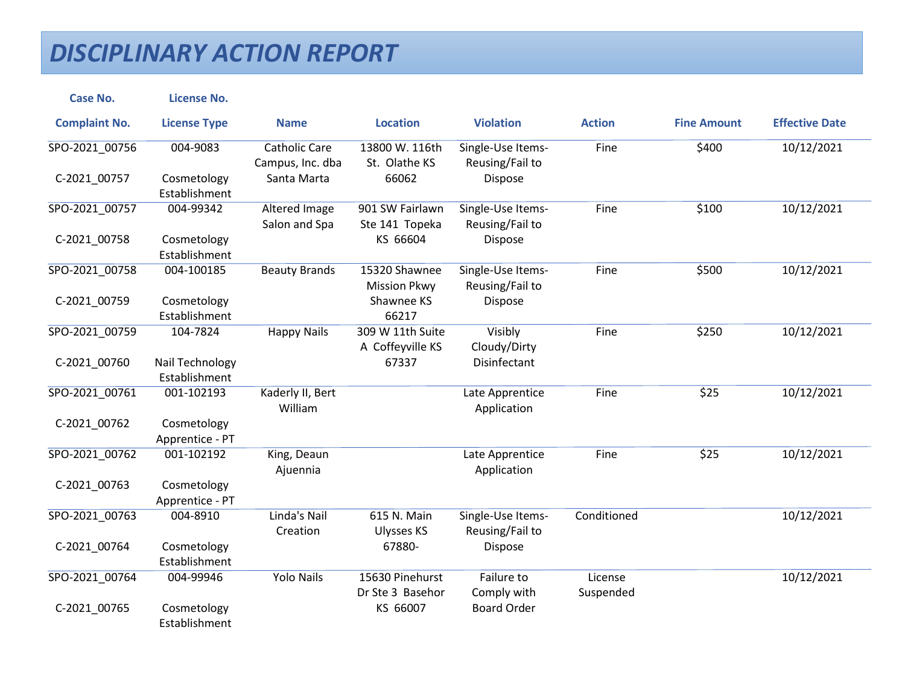## *DISCIPLINARY ACTION REPORT*

| <b>Case No.</b>      | <b>License No.</b>               |                                          |                                      |                                      |                      |                    |                       |
|----------------------|----------------------------------|------------------------------------------|--------------------------------------|--------------------------------------|----------------------|--------------------|-----------------------|
| <b>Complaint No.</b> | <b>License Type</b>              | <b>Name</b>                              | <b>Location</b>                      | <b>Violation</b>                     | <b>Action</b>        | <b>Fine Amount</b> | <b>Effective Date</b> |
| SPO-2021_00756       | 004-9083                         | <b>Catholic Care</b><br>Campus, Inc. dba | 13800 W. 116th<br>St. Olathe KS      | Single-Use Items-<br>Reusing/Fail to | Fine                 | \$400              | 10/12/2021            |
| C-2021 00757         | Cosmetology<br>Establishment     | Santa Marta                              | 66062                                | Dispose                              |                      |                    |                       |
| SPO-2021_00757       | 004-99342                        | Altered Image<br>Salon and Spa           | 901 SW Fairlawn<br>Ste 141 Topeka    | Single-Use Items-<br>Reusing/Fail to | Fine                 | \$100              | 10/12/2021            |
| C-2021_00758         | Cosmetology<br>Establishment     |                                          | KS 66604                             | Dispose                              |                      |                    |                       |
| SPO-2021_00758       | 004-100185                       | <b>Beauty Brands</b>                     | 15320 Shawnee<br><b>Mission Pkwy</b> | Single-Use Items-<br>Reusing/Fail to | Fine                 | \$500              | 10/12/2021            |
| C-2021_00759         | Cosmetology<br>Establishment     |                                          | Shawnee KS<br>66217                  | <b>Dispose</b>                       |                      |                    |                       |
| SPO-2021 00759       | 104-7824                         | <b>Happy Nails</b>                       | 309 W 11th Suite<br>A Coffeyville KS | Visibly<br>Cloudy/Dirty              | Fine                 | \$250              | 10/12/2021            |
| C-2021_00760         | Nail Technology<br>Establishment |                                          | 67337                                | <b>Disinfectant</b>                  |                      |                    |                       |
| SPO-2021_00761       | 001-102193                       | Kaderly II, Bert<br>William              |                                      | Late Apprentice<br>Application       | Fine                 | \$25               | 10/12/2021            |
| C-2021_00762         | Cosmetology<br>Apprentice - PT   |                                          |                                      |                                      |                      |                    |                       |
| SPO-2021 00762       | 001-102192                       | King, Deaun<br>Ajuennia                  |                                      | Late Apprentice<br>Application       | Fine                 | \$25               | 10/12/2021            |
| C-2021_00763         | Cosmetology<br>Apprentice - PT   |                                          |                                      |                                      |                      |                    |                       |
| SPO-2021 00763       | 004-8910                         | Linda's Nail<br>Creation                 | 615 N. Main<br><b>Ulysses KS</b>     | Single-Use Items-<br>Reusing/Fail to | Conditioned          |                    | 10/12/2021            |
| C-2021_00764         | Cosmetology<br>Establishment     |                                          | 67880-                               | Dispose                              |                      |                    |                       |
| SPO-2021 00764       | 004-99946                        | <b>Yolo Nails</b>                        | 15630 Pinehurst<br>Dr Ste 3 Basehor  | Failure to<br>Comply with            | License<br>Suspended |                    | 10/12/2021            |
| C-2021_00765         | Cosmetology<br>Establishment     |                                          | KS 66007                             | <b>Board Order</b>                   |                      |                    |                       |